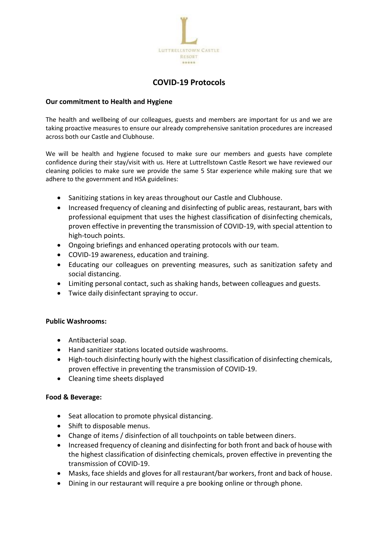

# **COVID-19 Protocols**

#### **Our commitment to Health and Hygiene**

The health and wellbeing of our colleagues, guests and members are important for us and we are taking proactive measures to ensure our already comprehensive sanitation procedures are increased across both our Castle and Clubhouse.

We will be health and hygiene focused to make sure our members and guests have complete confidence during their stay/visit with us. Here at Luttrellstown Castle Resort we have reviewed our cleaning policies to make sure we provide the same 5 Star experience while making sure that we adhere to the government and HSA guidelines:

- Sanitizing stations in key areas throughout our Castle and Clubhouse.
- Increased frequency of cleaning and disinfecting of public areas, restaurant, bars with professional equipment that uses the highest classification of disinfecting chemicals, proven effective in preventing the transmission of COVID-19, with special attention to high-touch points.
- Ongoing briefings and enhanced operating protocols with our team.
- COVID-19 awareness, education and training.
- Educating our colleagues on preventing measures, such as sanitization safety and social distancing.
- Limiting personal contact, such as shaking hands, between colleagues and guests.
- Twice daily disinfectant spraying to occur.

#### **Public Washrooms:**

- Antibacterial soap.
- Hand sanitizer stations located outside washrooms.
- High-touch disinfecting hourly with the highest classification of disinfecting chemicals, proven effective in preventing the transmission of COVID-19.
- Cleaning time sheets displayed

#### **Food & Beverage:**

- Seat allocation to promote physical distancing.
- Shift to disposable menus.
- Change of items / disinfection of all touchpoints on table between diners.
- Increased frequency of cleaning and disinfecting for both front and back of house with the highest classification of disinfecting chemicals, proven effective in preventing the transmission of COVID-19.
- Masks, face shields and gloves for all restaurant/bar workers, front and back of house.
- Dining in our restaurant will require a pre booking online or through phone.